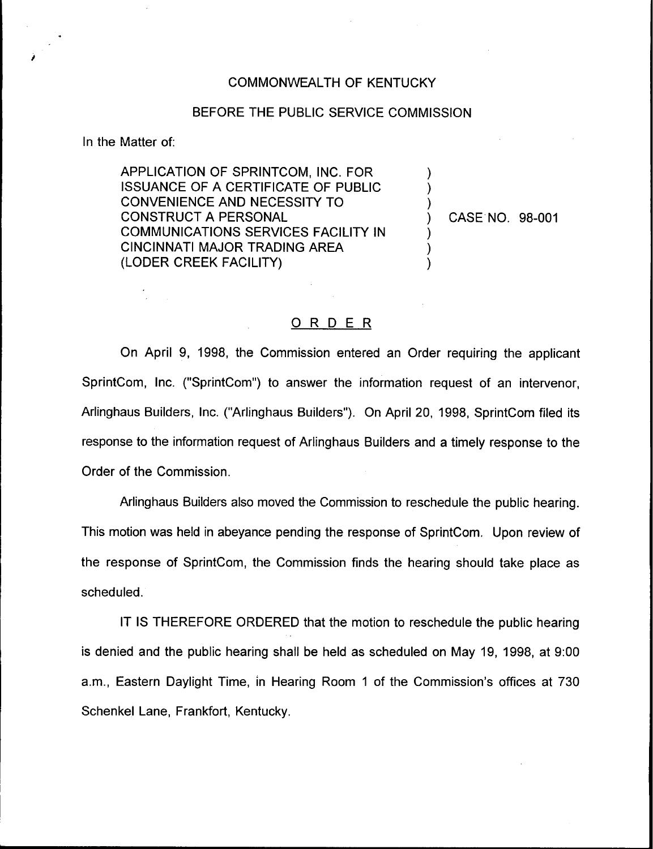## COMMONWEALTH OF KENTUCKY

## BEFORE THE PUBLIC SERVICE COMMISSION

In the Matter of:

APPLICATION OF SPRINTCQM, INC. FOR ISSUANCE OF A CERTIFICATE OF PUBLIC CONVENIENCE AND NECESSITY TO CONSTRUCT A PERSONAL COMMUNICATIONS SERVICES FACILITY IN CINCINNATI MAJOR TRADING AREA (LODER CREEK FACILITY)

) CASE NO. 98-001

) )  $\overline{\phantom{a}}$ 

 $\overline{\phantom{a}}$  $\overline{\mathcal{C}}$ )

## ORDER

On April 9, 1998, the Commission entered an Order requiring the applicant SprintCom, Inc. ("SprintCom") to answer the information request of an intervenor, Arlinghaus Builders, Inc. ("Arlinghaus Builders" ). On April 20, 1998, SprintCom filed its response to the information request of Arlinghaus Builders and a timely response to the Order of the Commission.

Arlinghaus Builders also moved the Commission to reschedule the public hearing. This motion was held in abeyance pending the response of SprintCom. Upon review of the response of SprintCom, the Commission finds the hearing should take place as scheduled.

IT IS THEREFORE ORDERED that the motion to reschedule the public hearing is denied and the public hearing shall be held as scheduled on May 19, 1998, at 9:00 a.m., Eastern Daylight Time, in Hearing Room <sup>1</sup> of the Commission's offices at 730 Schenkel Lane, Frankfort, Kentucky,